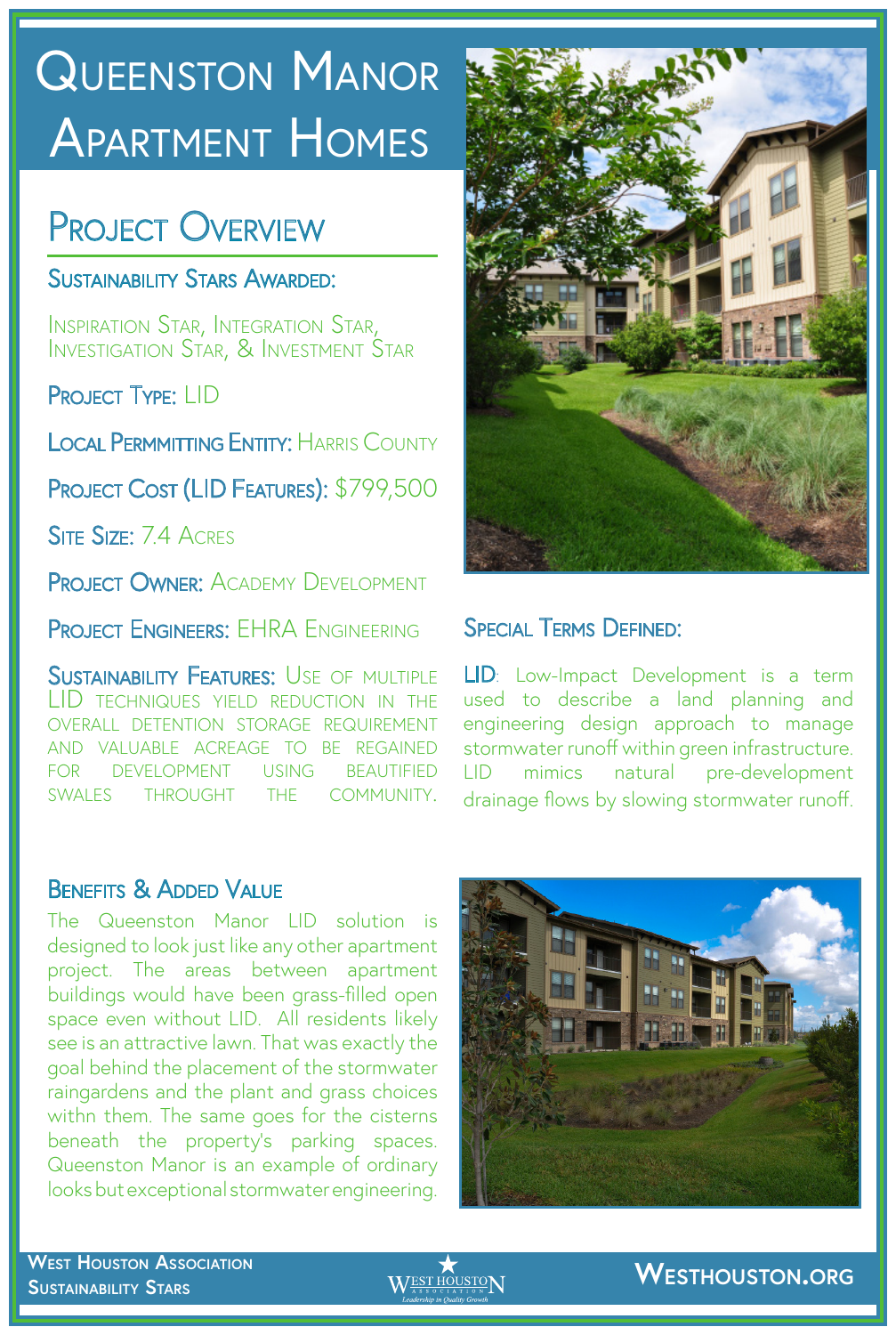# SUSTAINABILITY STARS QUEENSTON MANOR APARTMENT HOMES

# PROJECT OVERVIEW

SUSTAINABILITY STARS AWARDED:

Inspiration Star, Integration Star, Investigation Star, & Investment Star

PROJECT TYPE: LID

LOCAL PERMMITTING ENTITY: HARRIS COUNTY



PROJECT COST (LID FEATURES): \$799,500 SITE SIZE: 7.4 ACRES PROJECT OWNER: ACADEMY DEVELOPMENT

PROJECT ENGINEERS: EHRA ENGINEERING

SUSTAINABILITY FEATURES: USE OF MULTIPLE LID techniques yield reduction in the overall detention storage requirement VALUABLE ACREAGE TO BE REGAINED for development using beautified SWALES THROUGHT THE COMMUNITY.

## Special Terms Defined:

The Queenston Manor LID solution is designed to look just like any other apartment project. The areas between apartment buildings would have been grass-filled open space even without LID. All residents likely see is an attractive lawn. That was exactly the goal behind the placement of the stormwater raingardens and the plant and grass choices withn them. The same goes for the cisterns beneath the property's parking spaces. Queenston Manor is an example of ordinary looks but exceptional stormwater engineering.

## **WEST HOUSTON ASSOCIATION SUSTAINABILITY STARS SUSTAINER STARS WEST HOUSTON.ORG**



LID: Low-Impact Development is a term used to describe a land planning and engineering design approach to manage stormwater runoff within green infrastructure. LID mimics natural pre-development drainage flows by slowing stormwater runoff.

## BENEFITS & ADDED VALUE